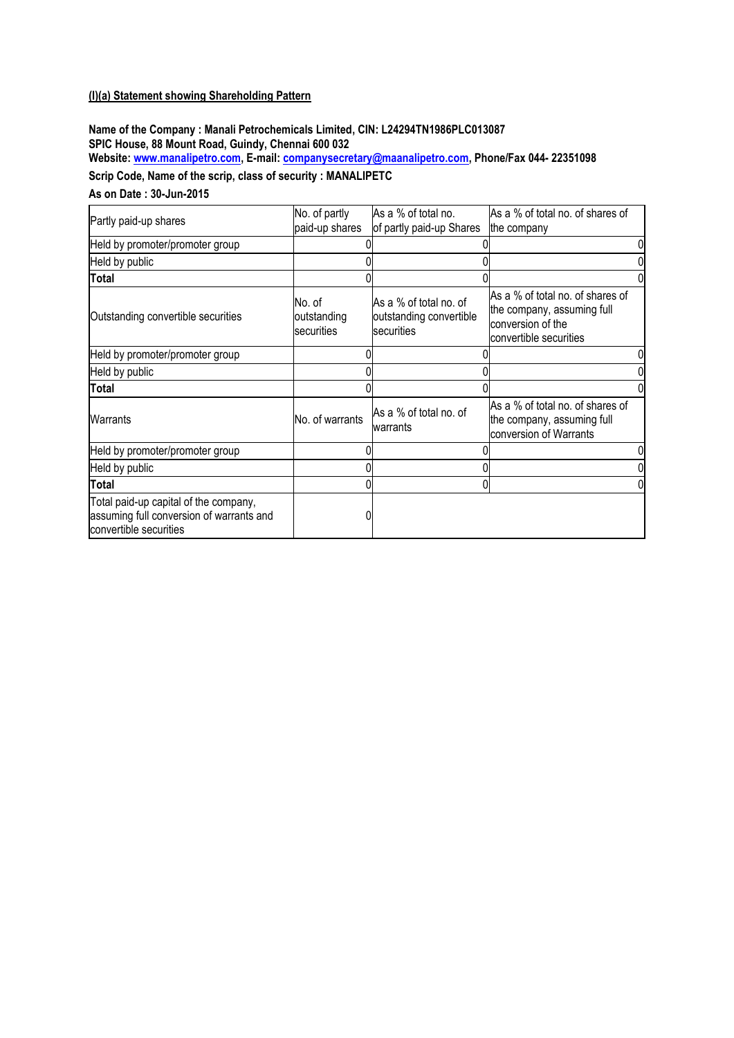#### **(I)(a) Statement showing Shareholding Pattern**

**Name of the Company : Manali Petrochemicals Limited, CIN: L24294TN1986PLC013087 SPIC House, 88 Mount Road, Guindy, Chennai 600 032 Website[: www.manalipetro.com,](http://www.manalipetro.com/) E-mail[: companysecretary@maanalipetro.com,](mailto:companysecretary@maanalipetro.com) Phone/Fax 044- 22351098**

# **Scrip Code, Name of the scrip, class of security : MANALIPETC**

#### **As on Date : 30-Jun-2015**

| Partly paid-up shares                                                                                       | No. of partly                               | As a % of total no.                                                      | As a % of total no. of shares of                                                                              |
|-------------------------------------------------------------------------------------------------------------|---------------------------------------------|--------------------------------------------------------------------------|---------------------------------------------------------------------------------------------------------------|
|                                                                                                             | paid-up shares                              | of partly paid-up Shares                                                 | the company                                                                                                   |
| Held by promoter/promoter group                                                                             |                                             |                                                                          |                                                                                                               |
| Held by public                                                                                              |                                             |                                                                          |                                                                                                               |
| <b>Total</b>                                                                                                |                                             |                                                                          |                                                                                                               |
| Outstanding convertible securities                                                                          | No. of<br>outstanding<br><b>Isecurities</b> | IAs a % of total no. of<br>outstanding convertible<br><b>Isecurities</b> | As a % of total no, of shares of<br>the company, assuming full<br>conversion of the<br>convertible securities |
| Held by promoter/promoter group                                                                             |                                             |                                                                          |                                                                                                               |
| Held by public                                                                                              |                                             |                                                                          |                                                                                                               |
| Total                                                                                                       |                                             |                                                                          |                                                                                                               |
| Warrants                                                                                                    | No. of warrants                             | As a % of total no. of<br>warrants                                       | As a % of total no. of shares of<br>the company, assuming full<br>conversion of Warrants                      |
| Held by promoter/promoter group                                                                             |                                             |                                                                          |                                                                                                               |
| Held by public                                                                                              |                                             |                                                                          |                                                                                                               |
| Total                                                                                                       |                                             |                                                                          |                                                                                                               |
| Total paid-up capital of the company,<br>assuming full conversion of warrants and<br>convertible securities |                                             |                                                                          |                                                                                                               |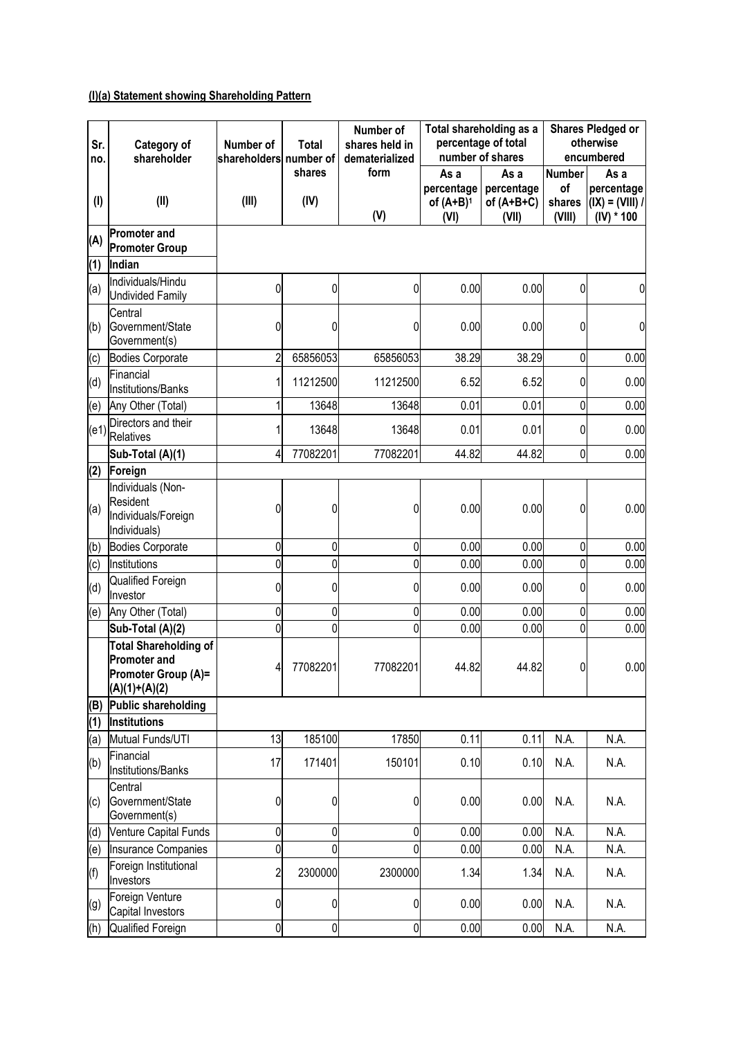# **(I)(a) Statement showing Shareholding Pattern**

| Sr.<br>no. | Category of<br>shareholder                                                                    | Number of<br>shareholders number of | <b>Total</b>   | Number of<br>shares held in<br>dematerialized |                                            | Total shareholding as a<br>percentage of total<br>number of shares |                                         | <b>Shares Pledged or</b><br>otherwise<br>encumbered       |  |
|------------|-----------------------------------------------------------------------------------------------|-------------------------------------|----------------|-----------------------------------------------|--------------------------------------------|--------------------------------------------------------------------|-----------------------------------------|-----------------------------------------------------------|--|
| $($ l $)$  | (II)                                                                                          | (III)                               | shares<br>(IV) | form<br>(V)                                   | As a<br>percentage<br>of $(A+B)^1$<br>(VI) | As a<br>percentage<br>of $(A+B+C)$<br>(VII)                        | <b>Number</b><br>of<br>shares<br>(VIII) | As a<br>percentage<br>$I(X) = (VIII) / I$<br>$(IV) * 100$ |  |
| (A)        | <b>Promoter and</b><br><b>Promoter Group</b>                                                  |                                     |                |                                               |                                            |                                                                    |                                         |                                                           |  |
| (1)        | Indian                                                                                        |                                     |                |                                               |                                            |                                                                    |                                         |                                                           |  |
| (a)        | Individuals/Hindu<br><b>Undivided Family</b>                                                  | 0                                   | 0              | $\overline{0}$                                | 0.00                                       | 0.00                                                               | $\overline{0}$                          | $\mathbf 0$                                               |  |
| (b)        | Central<br>Government/State<br>Government(s)                                                  | 0                                   | 0              | 0                                             | 0.00                                       | 0.00                                                               | $\overline{0}$                          | $\mathbf 0$                                               |  |
| (c)        | Bodies Corporate                                                                              | $\overline{c}$                      | 65856053       | 65856053                                      | 38.29                                      | 38.29                                                              | $\overline{0}$                          | 0.00                                                      |  |
| (d)        | Financial<br>Institutions/Banks                                                               | 1                                   | 11212500       | 11212500                                      | 6.52                                       | 6.52                                                               | $\overline{0}$                          | 0.00                                                      |  |
| (e)        | Any Other (Total)                                                                             | 1                                   | 13648          | 13648                                         | 0.01                                       | 0.01                                                               | $\overline{0}$                          | 0.00                                                      |  |
| (e1)       | Directors and their<br><b>Relatives</b>                                                       |                                     | 13648          | 13648                                         | 0.01                                       | 0.01                                                               | $\overline{0}$                          | 0.00                                                      |  |
|            | Sub-Total (A)(1)                                                                              | 4                                   | 77082201       | 77082201                                      | 44.82                                      | 44.82                                                              | $\overline{0}$                          | 0.00                                                      |  |
| (2)        | Foreign                                                                                       |                                     |                |                                               |                                            |                                                                    |                                         |                                                           |  |
| (a)        | Individuals (Non-<br>Resident<br>Individuals/Foreign<br>Individuals)                          | 0                                   | 0              | 0                                             | 0.00                                       | 0.00                                                               | 0                                       | 0.00                                                      |  |
| (b)        | <b>Bodies Corporate</b>                                                                       | 0                                   | 0              | 0                                             | 0.00                                       | 0.00                                                               | $\overline{0}$                          | 0.00                                                      |  |
| (c)        | Institutions                                                                                  | 0                                   | 0              | 0                                             | 0.00                                       | 0.00                                                               | $\overline{0}$                          | 0.00                                                      |  |
| (d)        | Qualified Foreign<br>Investor                                                                 | 0                                   | 0              | 0                                             | 0.00                                       | 0.00                                                               | $\overline{0}$                          | 0.00                                                      |  |
| (e)        | Any Other (Total)                                                                             | 0                                   | 0              | 0                                             | 0.00                                       | 0.00                                                               | $\overline{0}$                          | 0.00                                                      |  |
|            | Sub-Total (A)(2)                                                                              | 0                                   | 0              | 0                                             | 0.00                                       | 0.00                                                               | $\overline{0}$                          | 0.00                                                      |  |
|            | <b>Total Shareholding of</b><br><b>Promoter and</b><br>Promoter Group (A)=<br>$(A)(1)+(A)(2)$ | 4                                   | 77082201       | 77082201                                      | 44.82                                      | 44.82                                                              | $\overline{0}$                          | 0.00                                                      |  |
| (B)        | Public shareholding                                                                           |                                     |                |                                               |                                            |                                                                    |                                         |                                                           |  |
| (1)        | <b>Institutions</b>                                                                           |                                     |                |                                               |                                            |                                                                    |                                         |                                                           |  |
| (a)        | Mutual Funds/UTI                                                                              | 13                                  | 185100         | 17850                                         | 0.11                                       | 0.11                                                               | N.A.                                    | N.A.                                                      |  |
| (b)        | Financial<br>Institutions/Banks                                                               | 17                                  | 171401         | 150101                                        | 0.10                                       | 0.10                                                               | N.A.                                    | N.A.                                                      |  |
| (c)        | Central<br>Government/State<br>Government(s)                                                  | 0                                   | 0              | 0                                             | 0.00                                       | 0.00                                                               | N.A.                                    | N.A.                                                      |  |
| (d)        | Venture Capital Funds                                                                         | 0                                   | 0              | $\mathbf{0}$                                  | 0.00                                       | 0.00                                                               | N.A.                                    | N.A.                                                      |  |
| (e)        | Insurance Companies                                                                           | 0                                   | 0              | 0                                             | 0.00                                       | 0.00                                                               | N.A.                                    | N.A.                                                      |  |
| (f)        | Foreign Institutional<br>Investors                                                            | $\overline{c}$                      | 2300000        | 2300000                                       | 1.34                                       | 1.34                                                               | N.A.                                    | N.A.                                                      |  |
| (g)        | Foreign Venture<br>Capital Investors                                                          | 0                                   | 0              | 0                                             | 0.00                                       | 0.00                                                               | N.A.                                    | N.A.                                                      |  |
| (h)        | Qualified Foreign                                                                             | 0                                   | 0              | $\overline{0}$                                | 0.00                                       | 0.00                                                               | N.A.                                    | N.A.                                                      |  |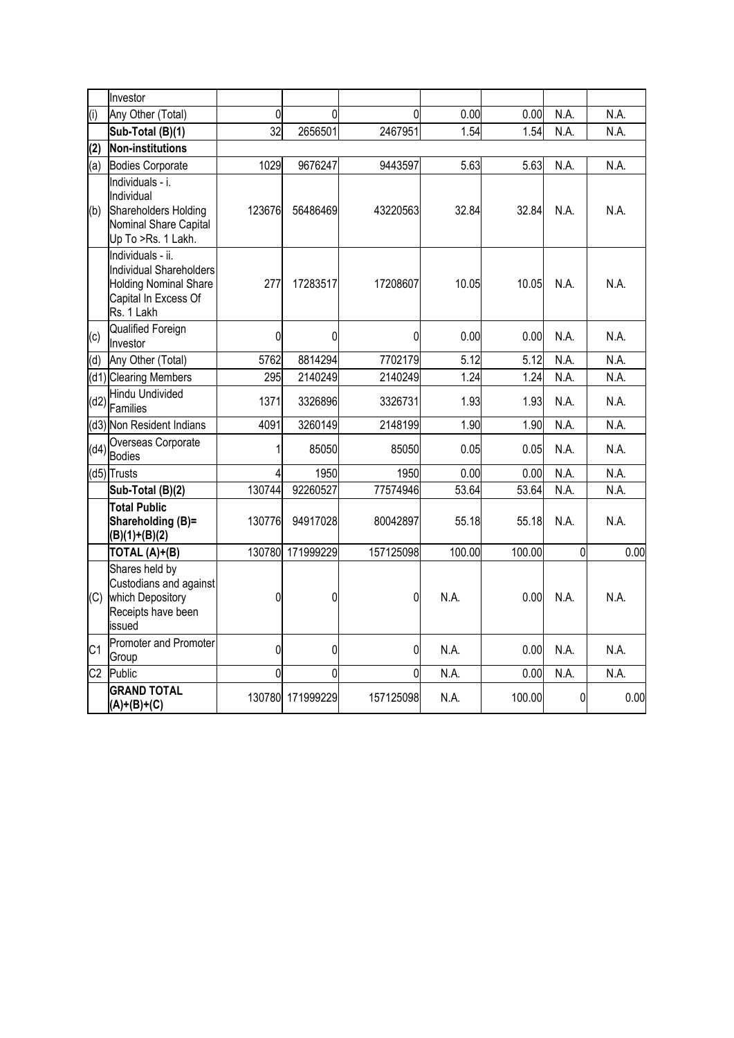|                | Investor                                                                                                           |             |                  |           |        |        |                |      |
|----------------|--------------------------------------------------------------------------------------------------------------------|-------------|------------------|-----------|--------|--------|----------------|------|
| (i)            | Any Other (Total)                                                                                                  | $\mathbf 0$ | 0                | 0         | 0.00   | 0.00   | N.A.           | N.A. |
|                | Sub-Total (B)(1)                                                                                                   | 32          | 2656501          | 2467951   | 1.54   | 1.54   | N.A.           | N.A. |
| (2)            | Non-institutions                                                                                                   |             |                  |           |        |        |                |      |
| (a)            | <b>Bodies Corporate</b>                                                                                            | 1029        | 9676247          | 9443597   | 5.63   | 5.63   | N.A.           | N.A. |
| (b)            | Individuals - i.<br>Individual<br>Shareholders Holding<br>Nominal Share Capital<br>Up To >Rs. 1 Lakh.              | 123676      | 56486469         | 43220563  | 32.84  | 32.84  | N.A.           | N.A. |
|                | Individuals - ii.<br>Individual Shareholders<br><b>Holding Nominal Share</b><br>Capital In Excess Of<br>Rs. 1 Lakh | 277         | 17283517         | 17208607  | 10.05  | 10.05  | N.A.           | N.A. |
| (c)            | Qualified Foreign<br>Investor                                                                                      | 0           | 0                | 0         | 0.00   | 0.00   | N.A.           | N.A. |
| (d)            | Any Other (Total)                                                                                                  | 5762        | 8814294          | 7702179   | 5.12   | 5.12   | N.A.           | N.A. |
|                | (d1) Clearing Members                                                                                              | 295         | 2140249          | 2140249   | 1.24   | 1.24   | N.A.           | N.A. |
| (d2)           | Hindu Undivided<br>Families                                                                                        | 1371        | 3326896          | 3326731   | 1.93   | 1.93   | N.A.           | N.A. |
|                | (d3) Non Resident Indians                                                                                          | 4091        | 3260149          | 2148199   | 1.90   | 1.90   | N.A.           | N.A. |
|                | Overseas Corporate<br>$(d4)$ Bodies                                                                                | 1           | 85050            | 85050     | 0.05   | 0.05   | N.A.           | N.A. |
|                | (d5) Trusts                                                                                                        | 4           | 1950             | 1950      | 0.00   | 0.00   | N.A.           | N.A. |
|                | Sub-Total (B)(2)                                                                                                   | 130744      | 92260527         | 77574946  | 53.64  | 53.64  | N.A.           | N.A. |
|                | <b>Total Public</b><br>Shareholding (B)=<br>$(B)(1)+(B)(2)$                                                        | 130776      | 94917028         | 80042897  | 55.18  | 55.18  | N.A.           | N.A. |
|                | TOTAL (A)+(B)                                                                                                      | 130780      | 171999229        | 157125098 | 100.00 | 100.00 | $\overline{0}$ | 0.00 |
| (C)            | Shares held by<br>Custodians and against<br>which Depository<br>Receipts have been<br>issued                       | 0           | 0                | 0         | N.A.   | 0.00   | N.A.           | N.A. |
| C <sub>1</sub> | Promoter and Promoter<br>Group                                                                                     | 0           | 0                | 0         | N.A.   | 0.00   | N.A.           | N.A. |
| C <sub>2</sub> | Public                                                                                                             | 0           | 0                | $\Omega$  | N.A.   | 0.00   | N.A.           | N.A. |
|                | <b>GRAND TOTAL</b><br>$(A)+(B)+(C)$                                                                                |             | 130780 171999229 | 157125098 | N.A.   | 100.00 | $\overline{0}$ | 0.00 |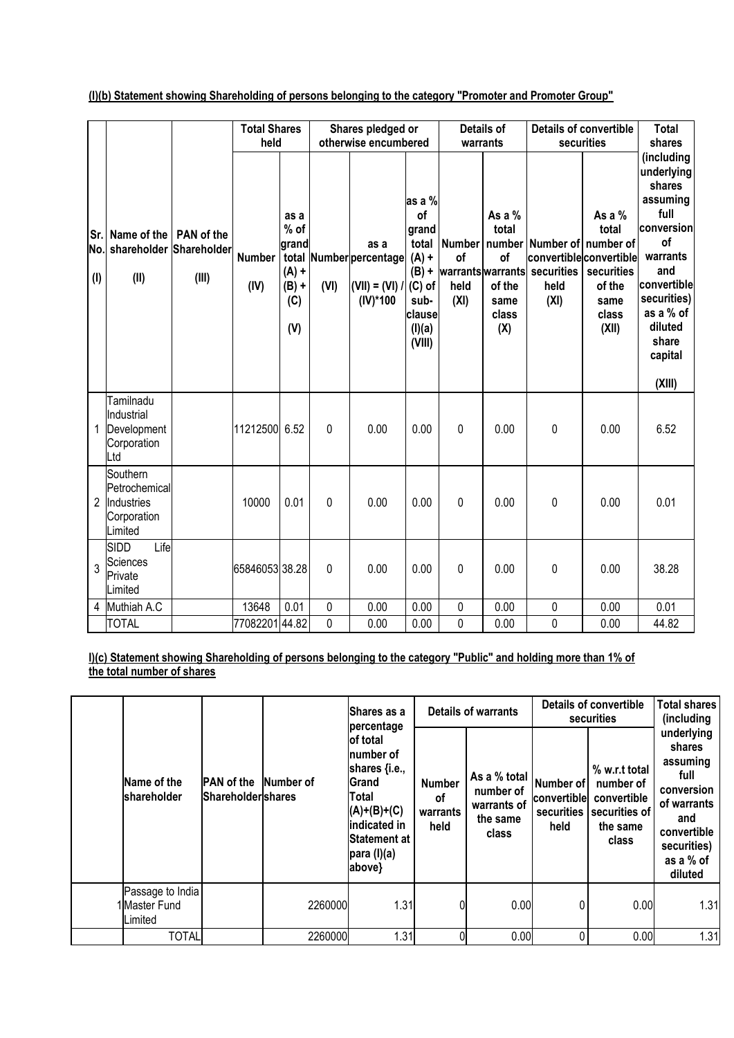**(I)(b) Statement showing Shareholding of persons belonging to the category "Promoter and Promoter Group"**

|                         |                                                                   |                            |                       | <b>Total Shares</b>                                       |             | Shares pledged or                                                   |                                                                                                        | Details of                                               |                                                           | <b>Details of convertible</b> |                                                                                                                              | <b>Total</b>                                                                                                                                                               |
|-------------------------|-------------------------------------------------------------------|----------------------------|-----------------------|-----------------------------------------------------------|-------------|---------------------------------------------------------------------|--------------------------------------------------------------------------------------------------------|----------------------------------------------------------|-----------------------------------------------------------|-------------------------------|------------------------------------------------------------------------------------------------------------------------------|----------------------------------------------------------------------------------------------------------------------------------------------------------------------------|
|                         |                                                                   |                            | held                  |                                                           |             | otherwise encumbered                                                |                                                                                                        | warrants                                                 |                                                           |                               | securities                                                                                                                   | shares<br>(including                                                                                                                                                       |
| Sr.<br>No.<br>$($ l $)$ | Name of the<br>shareholder Shareholder<br>(II)                    | <b>PAN of the</b><br>(III) | <b>Number</b><br>(IV) | as a<br>% of<br>grand<br>$(A) +$<br>$(B) +$<br>(C)<br>(V) | (VI)        | as a<br>total Number percentage<br>$(VII) = (VI) /$<br>$(IV)^*$ 100 | as a %<br>of<br>grand<br>total<br>$(A)$ +<br>$(B) +$<br>$(C)$ of<br>sub-<br>clause<br>(I)(a)<br>(VIII) | <b>Number</b><br>of<br>warrants warrants<br>held<br>(XI) | As a $%$<br>total<br>of<br>of the<br>same<br>class<br>(X) | securities<br>held<br>(XI)    | As a $%$<br>total<br>number Number of number of<br>convertible convertible<br>securities<br>of the<br>same<br>class<br>(XII) | underlying<br>shares<br>assuming<br>full<br>conversion<br><b>of</b><br>warrants<br>and<br>convertible<br>securities)<br>as a % of<br>diluted<br>share<br>capital<br>(XIII) |
| 1                       | Tamilnadu<br>Industrial<br>Development<br>Corporation<br>Ltd      |                            | 11212500 6.52         |                                                           | $\Omega$    | 0.00                                                                | 0.00                                                                                                   | 0                                                        | 0.00                                                      | 0                             | 0.00                                                                                                                         | 6.52                                                                                                                                                                       |
| 2                       | Southern<br>Petrochemical<br>Industries<br>Corporation<br>Limited |                            | 10000                 | 0.01                                                      | 0           | 0.00                                                                | 0.00                                                                                                   | 0                                                        | 0.00                                                      | 0                             | 0.00                                                                                                                         | 0.01                                                                                                                                                                       |
| 3                       | Life<br><b>SIDD</b><br>Sciences<br>Private<br>Limited             |                            | 65846053 38.28        |                                                           | 0           | 0.00                                                                | 0.00                                                                                                   | 0                                                        | 0.00                                                      | 0                             | 0.00                                                                                                                         | 38.28                                                                                                                                                                      |
| 4                       | Muthiah A.C                                                       |                            | 13648                 | 0.01                                                      | $\mathbf 0$ | 0.00                                                                | 0.00                                                                                                   | 0                                                        | 0.00                                                      | 0                             | 0.00                                                                                                                         | 0.01                                                                                                                                                                       |
|                         | <b>TOTAL</b>                                                      |                            | 7708220144.82         |                                                           | 0           | 0.00                                                                | 0.00                                                                                                   | 0                                                        | 0.00                                                      | 0                             | 0.00                                                                                                                         | 44.82                                                                                                                                                                      |

**I)(c) Statement showing Shareholding of persons belonging to the category "Public" and holding more than 1% of the total number of shares**

|  | Name of the<br>shareholder                   |                                        |           | Shares as a<br>percentage                                                                                                                                    |                                                | Details of warrants                                                                     | Details of convertible<br><b>securities</b> | <b>Total shares</b><br>(including                                               |                                                                                                                                    |
|--|----------------------------------------------|----------------------------------------|-----------|--------------------------------------------------------------------------------------------------------------------------------------------------------------|------------------------------------------------|-----------------------------------------------------------------------------------------|---------------------------------------------|---------------------------------------------------------------------------------|------------------------------------------------------------------------------------------------------------------------------------|
|  |                                              | <b>PAN</b> of the<br>Shareholdershares | Number of | lof total<br>Inumber of<br>shares {i.e.,<br>Grand<br>Total<br>$(A)+(B)+(C)$<br>lindicated in<br><b>Statement at</b><br>$\vert$ para (l) $\vert$ a)<br>above} | <b>Number</b><br><b>of</b><br>warrants<br>held | As a % total $\vert$ Number of $\vert$<br>number of<br>warrants of<br>the same<br>class | convertible<br>securities<br>held           | % w.r.t total<br>number of<br>convertible<br>securities of<br>the same<br>class | underlying<br>shares<br>assuming<br>full<br>conversion<br>of warrants<br>and<br>convertible<br>securities)<br>as a % of<br>diluted |
|  | Passage to India<br>1 Master Fund<br>Limited |                                        | 2260000   | 1.31                                                                                                                                                         |                                                | 0.00                                                                                    | 0                                           | 0.00                                                                            | 1.31                                                                                                                               |
|  | <b>TOTAL</b>                                 |                                        | 2260000   | 1.31                                                                                                                                                         |                                                | 0.00                                                                                    |                                             | 0.00                                                                            | 1.31                                                                                                                               |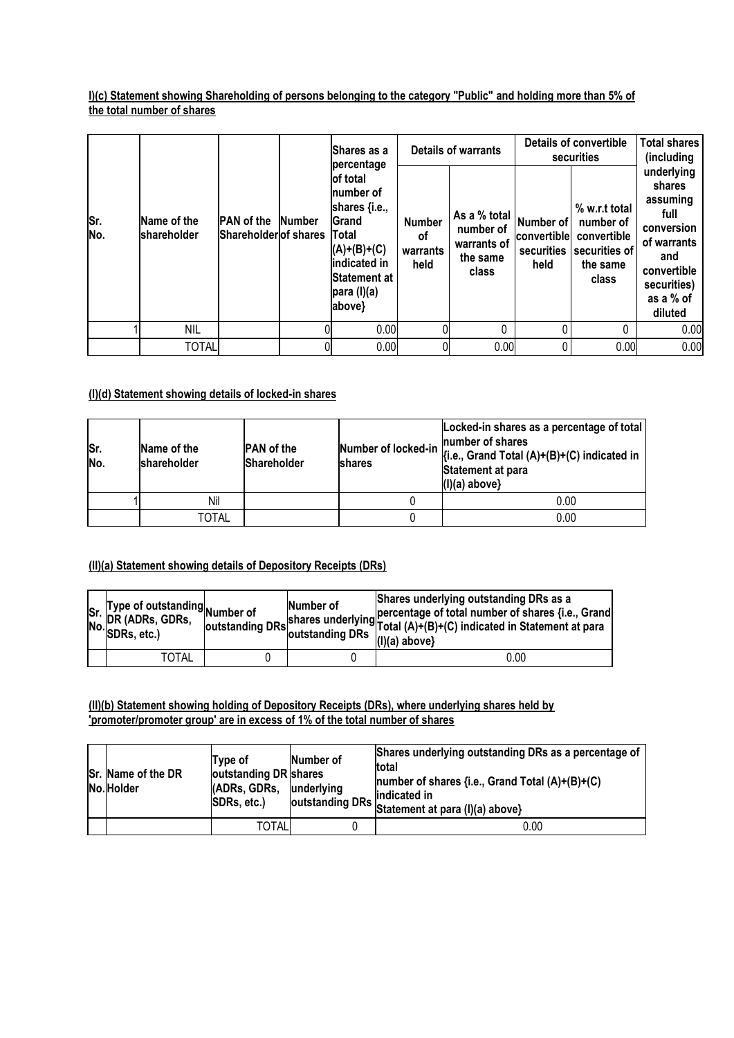## **I)(c) Statement showing Shareholding of persons belonging to the category "Public" and holding more than 5% of the total number of shares**

|            |                            |                                            |               | <b>IShares as a</b><br>percentage                                                                                                           | Details of warrants                     |                                                               | Details of convertible<br>securities           |                                                                                 | <b>Total shares</b><br>(including                                                                                                  |
|------------|----------------------------|--------------------------------------------|---------------|---------------------------------------------------------------------------------------------------------------------------------------------|-----------------------------------------|---------------------------------------------------------------|------------------------------------------------|---------------------------------------------------------------------------------|------------------------------------------------------------------------------------------------------------------------------------|
| Sr.<br>No. | Name of the<br>shareholder | <b>PAN</b> of the<br>Shareholder of shares | <b>Number</b> | of total<br>Inumber of<br>shares {i.e.,<br><b>Grand</b><br>Total<br>$(A)+(B)+(C)$<br>indicated in<br>lStatement at<br>para (I)(a)<br>above} | <b>Number</b><br>οf<br>warrants<br>held | As a % total<br>number of<br>warrants of<br>the same<br>class | Number of<br>convertible<br>securities<br>held | % w.r.t total<br>number of<br>convertible<br>securities of<br>the same<br>class | underlying<br>shares<br>assuming<br>full<br>conversion<br>of warrants<br>and<br>convertible<br>securities)<br>as a % of<br>diluted |
|            | <b>NIL</b>                 |                                            |               | 0.00                                                                                                                                        | N                                       | 0                                                             |                                                | 0                                                                               | 0.00                                                                                                                               |
|            | <b>TOTAL</b>               |                                            |               | 0.00                                                                                                                                        | 0                                       | 0.00                                                          | 0                                              | 0.00                                                                            | 0.00                                                                                                                               |

# **(I)(d) Statement showing details of locked-in shares**

| Sr.<br>No. | Name of the<br>shareholder | <b>PAN</b> of the<br>Shareholder | Locked-in shares as a percentage of total<br>number of shares<br>Number of locked-in $\left  \begin{array}{l} \{i.e., \text{ Grand Total } (A)+(B)+(C) \text{ indicated in } \end{array} \right $<br>Statement at para<br>$(I)(a)$ above} |
|------------|----------------------------|----------------------------------|-------------------------------------------------------------------------------------------------------------------------------------------------------------------------------------------------------------------------------------------|
|            | Nil                        |                                  | 0.00                                                                                                                                                                                                                                      |
|            | <b>TOTAL</b>               |                                  | 0.00                                                                                                                                                                                                                                      |

#### **(II)(a) Statement showing details of Depository Receipts (DRs)**

| Type of outstanding $_{\text{Number of}}$<br>Sr. livpe of outstandir<br>N. DR (ADRs, GDRs,<br>No. <sup>DR (ADRS, 1</sup> ) | Number of<br>loutstanding DRs outstanding DRs | Shares underlying outstanding DRs as a<br>shares underlying percentage of total number of shares {i.e., Grand<br>shares underlying Total (A)+(B)+(C) indicated in Statement at para<br>$(1)(a)$ above} |
|----------------------------------------------------------------------------------------------------------------------------|-----------------------------------------------|--------------------------------------------------------------------------------------------------------------------------------------------------------------------------------------------------------|
| TOTAL                                                                                                                      |                                               | 0.00                                                                                                                                                                                                   |

## **(II)(b) Statement showing holding of Depository Receipts (DRs), where underlying shares held by 'promoter/promoter group' are in excess of 1% of the total number of shares**

| Sr. Name of the DR<br>No. Holder | Type of<br>outstanding DR shares<br>(ADRs, GDRs,<br><b>SDRs. etc.)</b> | Number of<br>underlying | Shares underlying outstanding DRs as a percentage of<br>total<br>number of shares {i.e., Grand Total $(A)+(B)+(C)$<br>lindicated in<br>outstanding DRs Statement at para (I)(a) above) |
|----------------------------------|------------------------------------------------------------------------|-------------------------|----------------------------------------------------------------------------------------------------------------------------------------------------------------------------------------|
|                                  | <b>TOTAL</b>                                                           |                         | 0.00                                                                                                                                                                                   |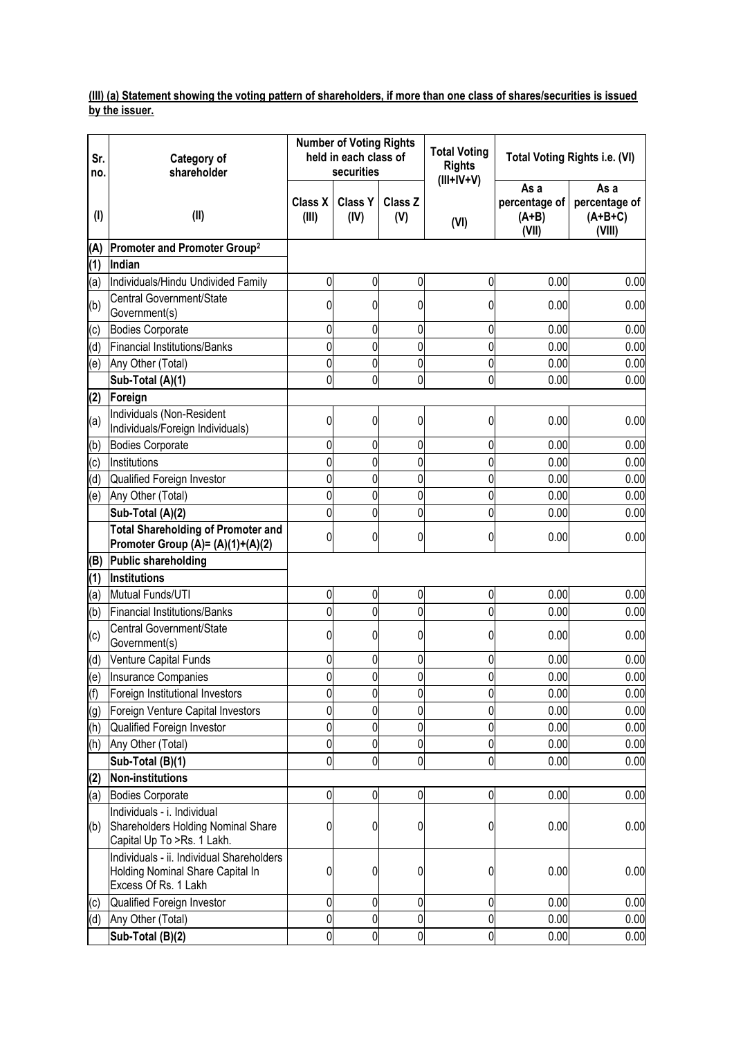#### **(III) (a) Statement showing the voting pattern of shareholders, if more than one class of shares/securities is issued by the issuer.**

| Sr.<br>no. | Category of<br>shareholder                                                                            |                         | <b>Number of Voting Rights</b><br>held in each class of<br>securities |                | <b>Total Voting</b><br><b>Rights</b> |                                           | Total Voting Rights i.e. (VI)                |
|------------|-------------------------------------------------------------------------------------------------------|-------------------------|-----------------------------------------------------------------------|----------------|--------------------------------------|-------------------------------------------|----------------------------------------------|
| $($ l $)$  | (II)                                                                                                  | <b>Class X</b><br>(III) | <b>Class Y</b><br>(IV)                                                | Class Z<br>(V) | $(III+IV+V)$<br>(VI)                 | As a<br>percentage of<br>$(A+B)$<br>(VII) | As a<br>percentage of<br>$(A+B+C)$<br>(VIII) |
| (A)        | Promoter and Promoter Group <sup>2</sup>                                                              |                         |                                                                       |                |                                      |                                           |                                              |
| (1)        | Indian                                                                                                |                         |                                                                       |                |                                      |                                           |                                              |
| (a)        | Individuals/Hindu Undivided Family                                                                    | $\overline{0}$          | $\overline{0}$                                                        | $\pmb{0}$      | 0                                    | 0.00                                      | 0.00                                         |
| (b)        | Central Government/State                                                                              | 0                       | 0                                                                     | 0              | 0                                    | 0.00                                      | 0.00                                         |
| (c)        | Government(s)<br>Bodies Corporate                                                                     | 0                       | 0                                                                     | 0              | 0                                    | 0.00                                      | 0.00                                         |
| (d)        | <b>Financial Institutions/Banks</b>                                                                   | $\mathbf 0$             | 0                                                                     | 0              | 0                                    | 0.00                                      | 0.00                                         |
| (e)        | Any Other (Total)                                                                                     | $\overline{0}$          | 0                                                                     | 0              | 0                                    | 0.00                                      | 0.00                                         |
|            | Sub-Total (A)(1)                                                                                      | $\overline{0}$          | 0                                                                     | 0              | 0                                    | 0.00                                      | 0.00                                         |
| (2)        | Foreign                                                                                               |                         |                                                                       |                |                                      |                                           |                                              |
| (a)        | Individuals (Non-Resident<br>Individuals/Foreign Individuals)                                         | $\mathbf 0$             | 0                                                                     | 0              | 0                                    | 0.00                                      | 0.00                                         |
| (b)        | <b>Bodies Corporate</b>                                                                               | $\mathbf 0$             | 0                                                                     | 0              | 0                                    | 0.00                                      | 0.00                                         |
| (c)        | Institutions                                                                                          | $\overline{0}$          | 0                                                                     | 0              | 0                                    | 0.00                                      | 0.00                                         |
| (d)        | Qualified Foreign Investor                                                                            | $\mathbf 0$             | $\overline{0}$                                                        | 0              | $\overline{0}$                       | 0.00                                      | 0.00                                         |
| (e)        | Any Other (Total)                                                                                     | $\mathbf 0$             | 0                                                                     | 0              | 0                                    | 0.00                                      | 0.00                                         |
|            | Sub-Total (A)(2)                                                                                      | $\overline{0}$          | 0                                                                     | 0              | 0                                    | 0.00                                      | 0.00                                         |
|            | <b>Total Shareholding of Promoter and</b><br>Promoter Group (A)= (A)(1)+(A)(2)                        | $\mathbf 0$             | 0                                                                     | 0              | 0                                    | 0.00                                      | 0.00                                         |
| (B)        | Public shareholding                                                                                   |                         |                                                                       |                |                                      |                                           |                                              |
| (1)        | Institutions                                                                                          |                         |                                                                       |                |                                      |                                           |                                              |
| (a)        | Mutual Funds/UTI                                                                                      | $\mathbf 0$             | 0                                                                     | 0              | 0                                    | 0.00                                      | 0.00                                         |
| (b)        | <b>Financial Institutions/Banks</b>                                                                   | $\mathbf 0$             | 0                                                                     | 0              | 0                                    | 0.00                                      | 0.00                                         |
| (c)        | Central Government/State<br>Government(s)                                                             | $\mathbf 0$             | 0                                                                     | 0              | 0                                    | 0.00                                      | 0.00                                         |
| (d)        | Venture Capital Funds                                                                                 | 0                       | 0                                                                     | 0              | 0                                    | 0.00                                      | 0.00                                         |
| (e)        | Insurance Companies                                                                                   | $\overline{0}$          | 0                                                                     | 0              | 0                                    | 0.00                                      | 0.00                                         |
| (f)        | Foreign Institutional Investors                                                                       | $\overline{0}$          | $\overline{0}$                                                        | $\overline{0}$ | $\overline{0}$                       | 0.00                                      | 0.00                                         |
| (g)        | Foreign Venture Capital Investors                                                                     | $\mathbf 0$             | 0                                                                     | 0              | 0                                    | 0.00                                      | 0.00                                         |
| (h)        | Qualified Foreign Investor                                                                            | $\mathbf 0$             | 0                                                                     | 0              | 0                                    | 0.00                                      | 0.00                                         |
| (h)        | Any Other (Total)                                                                                     | $\mathbf 0$             | $\overline{0}$                                                        | 0              | 0                                    | 0.00                                      | 0.00                                         |
|            | Sub-Total (B)(1)                                                                                      | $\mathbf 0$             | 0                                                                     | 0              | 0                                    | 0.00                                      | 0.00                                         |
| (2)        | <b>Non-institutions</b>                                                                               | $\overline{0}$          |                                                                       | 0              | $\overline{0}$                       | 0.00                                      |                                              |
| (a)        | <b>Bodies Corporate</b><br>Individuals - i. Individual                                                |                         | $\overline{0}$                                                        |                |                                      |                                           | 0.00                                         |
| (b)        | Shareholders Holding Nominal Share<br>Capital Up To >Rs. 1 Lakh.                                      | $\mathbf 0$             | 0                                                                     | 0              | 0                                    | 0.00                                      | 0.00                                         |
|            | Individuals - ii. Individual Shareholders<br>Holding Nominal Share Capital In<br>Excess Of Rs. 1 Lakh | $\mathbf 0$             | 0                                                                     | 0              | $\mathbf 0$                          | 0.00                                      | 0.00                                         |
| (c)        | Qualified Foreign Investor                                                                            | $\mathbf 0$             | 0                                                                     | 0              | 0                                    | 0.00                                      | 0.00                                         |
| (d)        | Any Other (Total)                                                                                     | $\pmb{0}$               | $\overline{0}$                                                        | 0              | $\overline{0}$                       | 0.00                                      | 0.00                                         |
|            | Sub-Total (B)(2)                                                                                      | $\mathbf 0$             | 0                                                                     | $\mathbf 0$    | 0                                    | 0.00                                      | 0.00                                         |